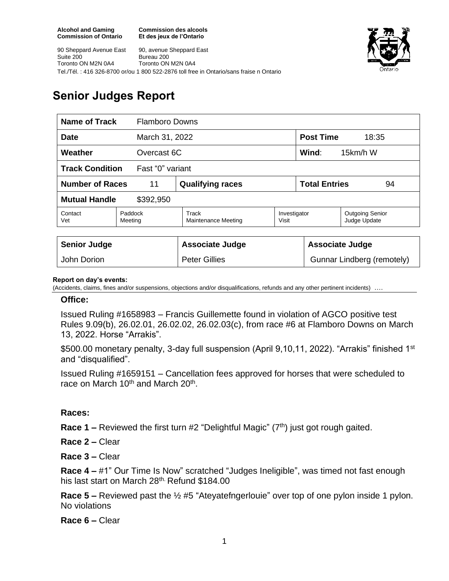90 Sheppard Avenue East

Toronto ON M2N 0A4

Suite 200

**Commission des alcools Et des jeux de l'Ontario**





# **Senior Judges Report**

| <b>Name of Track</b>                       |                    | <b>Flamboro Downs</b>        |                       |                            |                                        |  |
|--------------------------------------------|--------------------|------------------------------|-----------------------|----------------------------|----------------------------------------|--|
| March 31, 2022<br><b>Date</b>              |                    |                              |                       | <b>Post Time</b><br>18:35  |                                        |  |
| Weather<br>Overcast 6C                     |                    |                              |                       | Wind:<br>15km/h W          |                                        |  |
| <b>Track Condition</b><br>Fast "0" variant |                    |                              |                       |                            |                                        |  |
| <b>Number of Races</b><br>11               |                    | <b>Qualifying races</b>      |                       | <b>Total Entries</b><br>94 |                                        |  |
| <b>Mutual Handle</b><br>\$392,950          |                    |                              |                       |                            |                                        |  |
| Contact<br>Vet                             | Paddock<br>Meeting | Track<br>Maintenance Meeting | Investigator<br>Visit |                            | <b>Outgoing Senior</b><br>Judge Update |  |
|                                            |                    |                              |                       |                            |                                        |  |
| <b>Senior Judge</b>                        |                    | <b>Associate Judge</b>       |                       | <b>Associate Judge</b>     |                                        |  |
| John Dorion                                |                    | <b>Peter Gillies</b>         |                       |                            | Gunnar Lindberg (remotely)             |  |

#### **Report on day's events:**

(Accidents, claims, fines and/or suspensions, objections and/or disqualifications, refunds and any other pertinent incidents)

#### **Office:**

Issued Ruling #1658983 – Francis Guillemette found in violation of AGCO positive test Rules 9.09(b), 26.02.01, 26.02.02, 26.02.03(c), from race #6 at Flamboro Downs on March 13, 2022. Horse "Arrakis".

\$500.00 monetary penalty, 3-day full suspension (April 9,10,11, 2022). "Arrakis" finished 1<sup>st</sup> and "disqualified".

Issued Ruling #1659151 – Cancellation fees approved for horses that were scheduled to race on March 10<sup>th</sup> and March 20<sup>th</sup>.

### **Races:**

**Race 1 –** Reviewed the first turn #2 "Delightful Magic" (7<sup>th</sup>) just got rough gaited.

**Race 2 –** Clear

**Race 3 –** Clear

**Race 4 –** #1" Our Time Is Now" scratched "Judges Ineligible", was timed not fast enough his last start on March 28<sup>th.</sup> Refund \$184.00

**Race 5 –** Reviewed past the ½ #5 "Ateyatefngerlouie" over top of one pylon inside 1 pylon. No violations

**Race 6 –** Clear